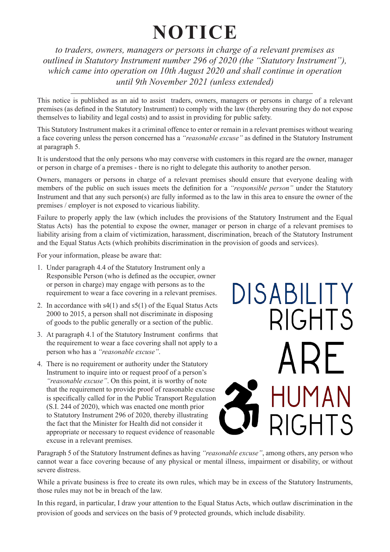# **NOTICE**

*to traders, owners, managers or persons in charge of a relevant premises as outlined in Statutory Instrument number 296 of 2020 (the "Statutory Instrument"), which came into operation on 10th August 2020 and shall continue in operation until 9th November 2021 (unless extended)*

This notice is published as an aid to assist traders, owners, managers or persons in charge of a relevant premises (as defined in the Statutory Instrument) to comply with the law (thereby ensuring they do not expose themselves to liability and legal costs) and to assist in providing for public safety.

This Statutory Instrument makes it a criminal offence to enter or remain in a relevant premises without wearing a face covering unless the person concerned has a *"reasonable excuse"* as defined in the Statutory Instrument at paragraph 5.

It is understood that the only persons who may converse with customers in this regard are the owner, manager or person in charge of a premises - there is no right to delegate this authority to another person.

Owners, managers or persons in charge of a relevant premises should ensure that everyone dealing with members of the public on such issues meets the definition for a *"responsible person"* under the Statutory Instrument and that any such person(s) are fully informed as to the law in this area to ensure the owner of the premises / employer is not exposed to vicarious liability.

Failure to properly apply the law (which includes the provisions of the Statutory Instrument and the Equal Status Acts) has the potential to expose the owner, manager or person in charge of a relevant premises to liability arising from a claim of victimization, harassment, discrimination, breach of the Statutory Instrument and the Equal Status Acts (which prohibits discrimination in the provision of goods and services).

For your information, please be aware that:

- 1. Under paragraph 4.4 of the Statutory Instrument only a Responsible Person (who is defined as the occupier, owner or person in charge) may engage with persons as to the requirement to wear a face covering in a relevant premises.
- 2. In accordance with s4(1) and s5(1) of the Equal Status Acts 2000 to 2015, a person shall not discriminate in disposing of goods to the public generally or a section of the public.
- 3. At paragraph 4.1 of the Statutory Instrument confirms that the requirement to wear a face covering shall not apply to a person who has a *"reasonable excuse"*.
- 4. There is no requirement or authority under the Statutory Instrument to inquire into or request proof of a person's *"reasonable excuse"*. On this point, it is worthy of note that the requirement to provide proof of reasonable excuse is specifically called for in the Public Transport Regulation (S.I. 244 of 2020), which was enacted one month prior to Statutory Instrument 296 of 2020, thereby illustrating the fact that the Minister for Health did not consider it appropriate or necessary to request evidence of reasonable excuse in a relevant premises.



Paragraph 5 of the Statutory Instrument defines as having *"reasonable excuse"*, among others, any person who cannot wear a face covering because of any physical or mental illness, impairment or disability, or without severe distress.

While a private business is free to create its own rules, which may be in excess of the Statutory Instruments, those rules may not be in breach of the law.

In this regard, in particular, I draw your attention to the Equal Status Acts, which outlaw discrimination in the provision of goods and services on the basis of 9 protected grounds, which include disability.